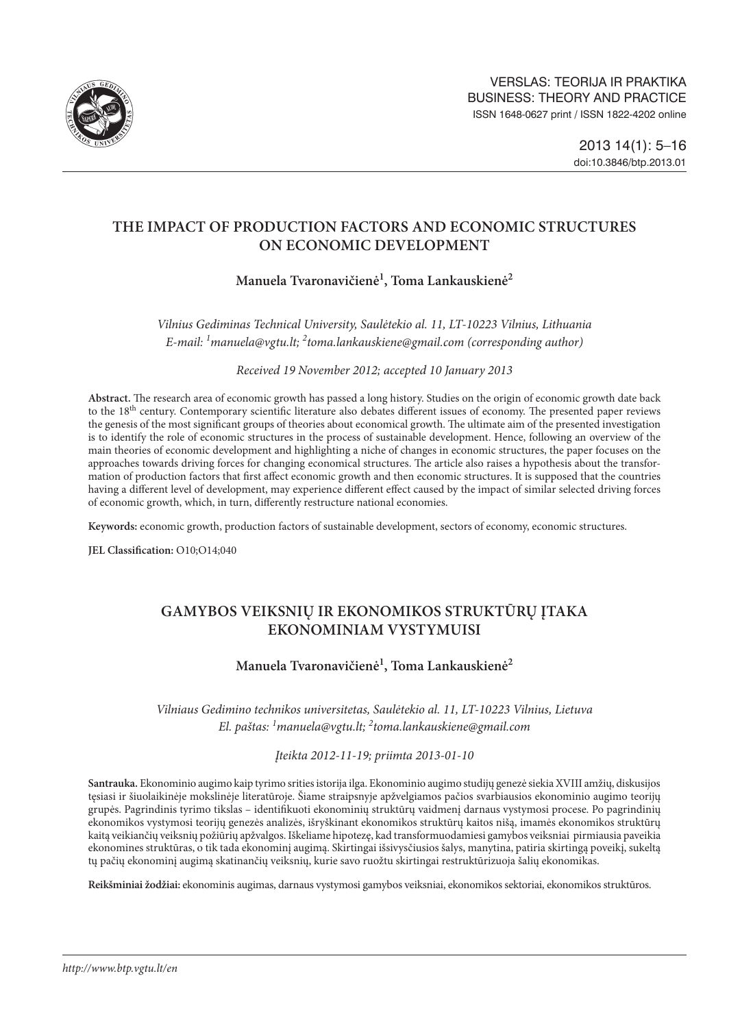

# **THE IMPACT OF PRODUCTION FACTORS AND ECONOMIC STRUCTURES ON ECONOMIC DEVELOPMENT**

## **Manuela Tvaronavičienė1 , Toma Lankauskienė2**

*Vilnius Gediminas Technical University, Saulėtekio al. 11, LT-10223 Vilnius, Lithuania E-mail: 1 [manuela@vgtu.lt](mailto:manuela@vgtu.lt); 2 [toma.lankauskiene@gmail.com](mailto:toma.lankauskiene@gmail.com) (corresponding author)*

*Received 19 November 2012; accepted 10 January 2013*

**Abstract.** The research area of economic growth has passed a long history. Studies on the origin of economic growth date back to the 18<sup>th</sup> century. Contemporary scientific literature also debates different issues of economy. The presented paper reviews the genesis of the most significant groups of theories about economical growth. The ultimate aim of the presented investigation is to identify the role of economic structures in the process of sustainable development. Hence, following an overview of the main theories of economic development and highlighting a niche of changes in economic structures, the paper focuses on the approaches towards driving forces for changing economical structures. The article also raises a hypothesis about the transformation of production factors that first affect economic growth and then economic structures. It is supposed that the countries having a different level of development, may experience different effect caused by the impact of similar selected driving forces of economic growth, which, in turn, differently restructure national economies.

**Keywords:** economic growth, production factors of sustainable development, sectors of economy, economic structures.

**JEL Classification:** O10;O14;040

## **GAMYBOS VEIKSNIŲ IR EKONOMIKOS STRUKTŪRŲ ĮTAKA EKONOMINIAM VYSTYMUISI**

## **Manuela Tvaronavičienė1 , Toma Lankauskienė2**

*Vilniaus Gedimino technikos universitetas, Saulėtekio al. 11, LT-10223 Vilnius, Lietuva El. paštas: 1 [manuela@vgtu.lt](mailto:manuela@vgtu.lt); 2 [toma.lankauskiene@gmail.com](mailto:toma.lankauskiene@gmail.com)*

*Įteikta 2012-11-19; priimta 2013-01-10*

**Santrauka.** Ekonominio augimo kaip tyrimo srities istorija ilga. Ekonominio augimo studijų genezė siekia XVIII amžių, diskusijos tęsiasi ir šiuolaikinėje mokslinėje literatūroje. Šiame straipsnyje apžvelgiamos pačios svarbiausios ekonominio augimo teorijų grupės. Pagrindinis tyrimo tikslas – identifikuoti ekonominių struktūrų vaidmenį darnaus vystymosi procese. Po pagrindinių ekonomikos vystymosi teorijų genezės analizės, išryškinant ekonomikos struktūrų kaitos nišą, imamės ekonomikos struktūrų kaitą veikiančių veiksnių požiūrių apžvalgos. Iškeliame hipotezę, kad transformuodamiesi gamybos veiksniai pirmiausia paveikia ekonomines struktūras, o tik tada ekonominį augimą. Skirtingai išsivysčiusios šalys, manytina, patiria skirtingą poveikį, sukeltą tų pačių ekonominį augimą skatinančių veiksnių, kurie savo ruožtu skirtingai restruktūrizuoja šalių ekonomikas.

**Reikšminiai žodžiai:** ekonominis augimas, darnaus vystymosi gamybos veiksniai, ekonomikos sektoriai, ekonomikos struktūros.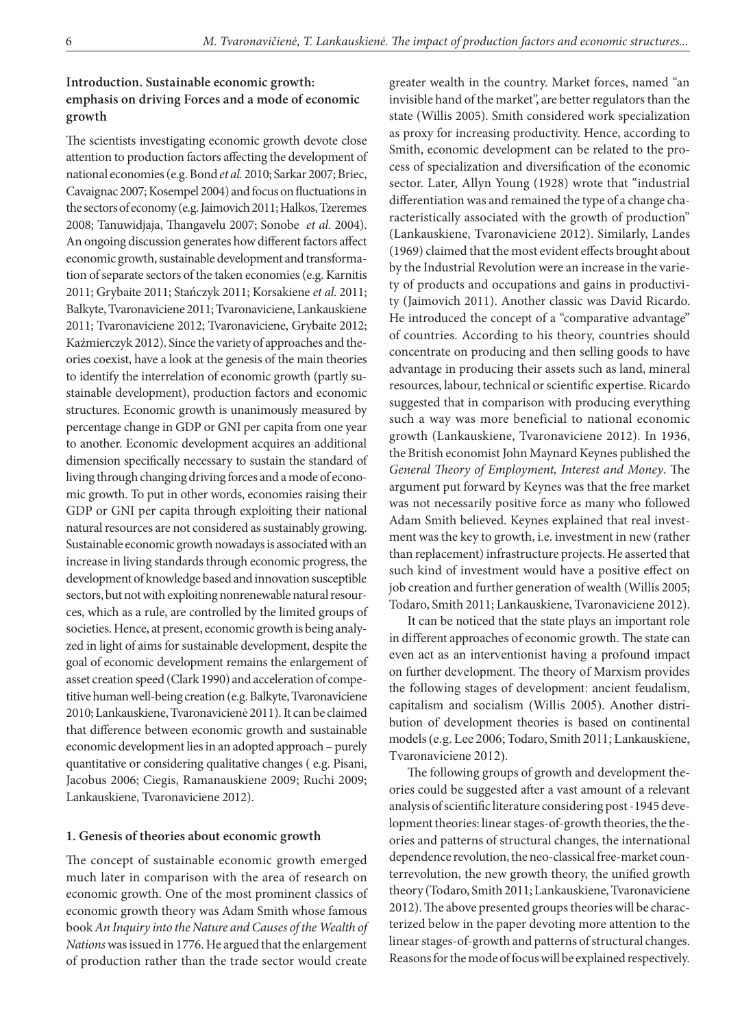### **Introduction. Sustainable economic growth: emphasis on driving Forces and a mode of economic growth**

The scientists investigating economic growth devote close attention to production factors affecting the development of national economies (e.g. Bond *et al.* 2010; Sarkar 2007; Briec, Cavaignac 2007; Kosempel 2004) and focus on fluctuations in the sectors of economy (e.g. Jaimovich 2011; Halkos, Tzeremes 2008; Tanuwidjaja, Thangavelu 2007; Sonobe *et al.* 2004). An ongoing discussion generates how different factors affect economic growth, sustainable development and transformation of separate sectors of the taken economies (e.g. Karnitis 2011; Grybaite 2011; Stańczyk 2011; Korsakiene *et al*. 2011; Balkyte, Tvaronaviciene 2011; Tvaronaviciene, Lankauskiene 2011; Tvaronaviciene 2012; Tvaronaviciene, Grybaite 2012; Kaźmierczyk 2012). Since the variety of approaches and theories coexist, have a look at the genesis of the main theories to identify the interrelation of economic growth (partly sustainable development), production factors and economic structures. Economic growth is unanimously measured by percentage change in GDP or GNI per capita from one year to another. Economic development acquires an additional dimension specifically necessary to sustain the standard of living through changing driving forces and a mode of economic growth. To put in other words, economies raising their GDP or GNI per capita through exploiting their national natural resources are not considered as sustainably growing. Sustainable economic growth nowadays is associated with an increase in living standards through economic progress, the development of knowledge based and innovation susceptible sectors, but not with exploiting nonrenewable natural resources, which as a rule, are controlled by the limited groups of societies. Hence, at present, economic growth is being analyzed in light of aims for sustainable development, despite the goal of economic development remains the enlargement of asset creation speed (Clark 1990) and acceleration of competitive human well-being creation (e.g. Balkyte, Tvaronaviciene 2010; Lankauskiene, Tvaronavicienė 2011). It can be claimed that difference between economic growth and sustainable economic development lies in an adopted approach – purely quantitative or considering qualitative changes ( e.g. Pisani, Jacobus 2006; Ciegis, Ramanauskiene 2009; Ruchi 2009; Lankauskiene, Tvaronaviciene 2012).

#### **1. Genesis of theories about economic growth**

The concept of sustainable economic growth emerged much later in comparison with the area of research on economic growth. One of the most prominent classics of economic growth theory was Adam Smith whose famous book *An Inquiry into the Nature and Causes of the Wealth of Nations* was issued in 1776. He argued that the enlargement of production rather than the trade sector would create

greater wealth in the country. Market forces, named "an invisible hand of the market", are better regulators than the state (Willis 2005). Smith considered work specialization as proxy for increasing productivity. Hence, according to Smith, economic development can be related to the process of specialization and diversification of the economic sector. Later, Allyn Young (1928) wrote that "industrial differentiation was and remained the type of a change characteristically associated with the growth of production" (Lankauskiene, Tvaronaviciene 2012). Similarly, Landes (1969) claimed that the most evident effects brought about by the Industrial Revolution were an increase in the variety of products and occupations and gains in productivity (Jaimovich 2011). Another classic was David Ricardo. He introduced the concept of a "comparative advantage" of countries. According to his theory, countries should concentrate on producing and then selling goods to have advantage in producing their assets such as land, mineral resources, labour, technical or scientific expertise. Ricardo suggested that in comparison with producing everything such a way was more beneficial to national economic growth (Lankauskiene, Tvaronaviciene 2012). In 1936, the British economist John Maynard Keynes published the *General Theory of Employment, Interest and Money*. The argument put forward by Keynes was that the free market was not necessarily positive force as many who followed Adam Smith believed. Keynes explained that real investment was the key to growth, i.e. investment in new (rather than replacement) infrastructure projects. He asserted that such kind of investment would have a positive effect on job creation and further generation of wealth (Willis 2005; Todaro, Smith 2011; Lankauskiene, Tvaronaviciene 2012).

It can be noticed that the state plays an important role in different approaches of economic growth. The state can even act as an interventionist having a profound impact on further development. The theory of Marxism provides the following stages of development: ancient feudalism, capitalism and socialism (Willis 2005). Another distribution of development theories is based on continental models (e.g. Lee 2006; Todaro, Smith 2011;Lankauskiene, Tvaronaviciene 2012).

The following groups of growth and development theories could be suggested after a vast amount of a relevant analysis of scientific literature considering post -1945 development theories: linear stages-of-growth theories, the theories and patterns of structural changes, the international dependence revolution, the neo-classical free-market counterrevolution, the new growth theory, the unified growth theory (Todaro, Smith 2011; Lankauskiene, Tvaronaviciene 2012). The above presented groups theories will be characterized below in the paper devoting more attention to the linear stages-of-growth and patterns of structural changes. Reasons for the mode of focus will be explained respectively.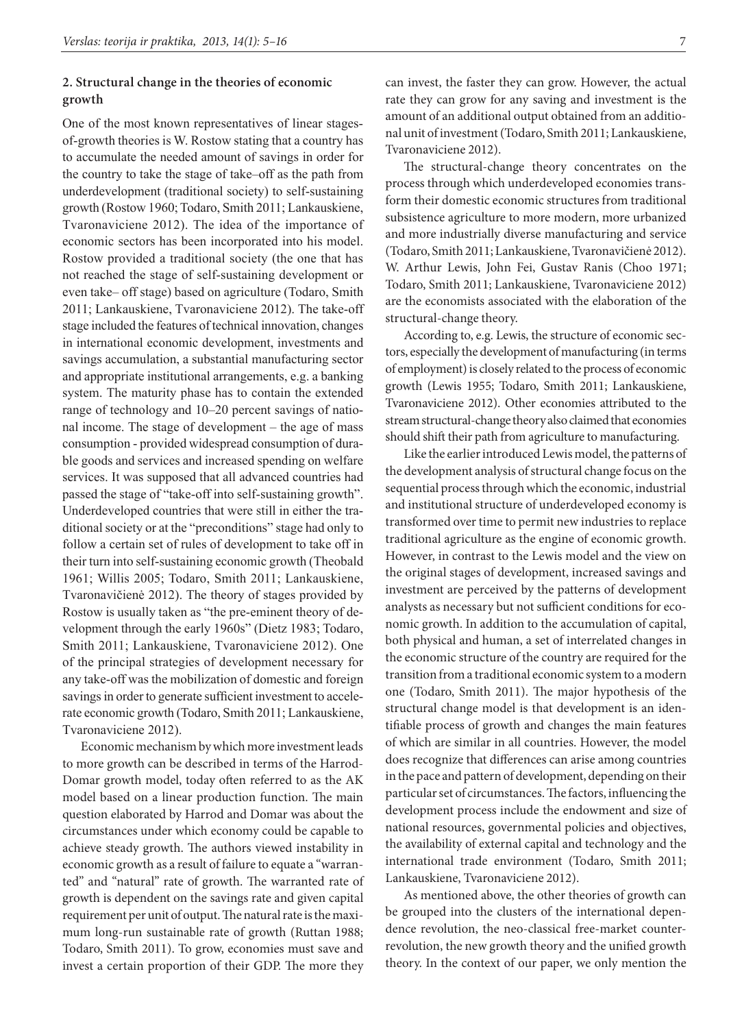### **2. Structural change in the theories of economic growth**

One of the most known representatives of linear stagesof-growth theories is W. Rostow stating that a country has to accumulate the needed amount of savings in order for the country to take the stage of take–off as the path from underdevelopment (traditional society) to self-sustaining growth (Rostow 1960; Todaro, Smith 2011; Lankauskiene, Tvaronaviciene 2012). The idea of the importance of economic sectors has been incorporated into his model. Rostow provided a traditional society (the one that has not reached the stage of self-sustaining development or even take– off stage) based on agriculture (Todaro, Smith 2011; Lankauskiene, Tvaronaviciene 2012). The take-off stage included the features of technical innovation, changes in international economic development, investments and savings accumulation, a substantial manufacturing sector and appropriate institutional arrangements, e.g. a banking system. The maturity phase has to contain the extended range of technology and 10–20 percent savings of national income. The stage of development – the age of mass consumption - provided widespread consumption of durable goods and services and increased spending on welfare services. It was supposed that all advanced countries had passed the stage of "take-off into self-sustaining growth". Underdeveloped countries that were still in either the traditional society or at the "preconditions" stage had only to follow a certain set of rules of development to take off in their turn into self-sustaining economic growth (Theobald 1961; Willis 2005; Todaro, Smith 2011; Lankauskiene, Tvaronavičienė 2012). The theory of stages provided by Rostow is usually taken as "the pre-eminent theory of development through the early 1960s" (Dietz 1983; Todaro, Smith 2011; Lankauskiene, Tvaronaviciene 2012). One of the principal strategies of development necessary for any take-off was the mobilization of domestic and foreign savings in order to generate sufficient investment to accelerate economic growth (Todaro, Smith 2011; Lankauskiene, Tvaronaviciene 2012).

Economic mechanism by which more investment leads to more growth can be described in terms of the Harrod-Domar growth model, today often referred to as the AK model based on a linear production function. The main question elaborated by Harrod and Domar was about the circumstances under which economy could be capable to achieve steady growth. The authors viewed instability in economic growth as a result of failure to equate a "warranted" and "natural" rate of growth. The warranted rate of growth is dependent on the savings rate and given capital requirement per unit of output. The natural rate is the maximum long-run sustainable rate of growth (Ruttan 1988; Todaro, Smith 2011). To grow, economies must save and invest a certain proportion of their GDP. The more they can invest, the faster they can grow. However, the actual rate they can grow for any saving and investment is the amount of an additional output obtained from an additional unit of investment (Todaro, Smith 2011; Lankauskiene, Tvaronaviciene 2012).

The structural-change theory concentrates on the process through which underdeveloped economies transform their domestic economic structures from traditional subsistence agriculture to more modern, more urbanized and more industrially diverse manufacturing and service (Todaro, Smith 2011; Lankauskiene, Tvaronavičienė 2012). W. Arthur Lewis, John Fei, Gustav Ranis (Choo 1971; Todaro, Smith 2011; Lankauskiene, Tvaronaviciene 2012) are the economists associated with the elaboration of the structural-change theory.

According to, e.g. Lewis, the structure of economic sectors, especially the development of manufacturing (in terms of employment) is closely related to the process of economic growth (Lewis 1955; Todaro, Smith 2011; Lankauskiene, Tvaronaviciene 2012). Other economies attributed to the stream structural-change theory also claimed that economies should shift their path from agriculture to manufacturing.

Like the earlier introduced Lewis model, the patterns of the development analysis of structural change focus on the sequential process through which the economic, industrial and institutional structure of underdeveloped economy is transformed over time to permit new industries to replace traditional agriculture as the engine of economic growth. However, in contrast to the Lewis model and the view on the original stages of development, increased savings and investment are perceived by the patterns of development analysts as necessary but not sufficient conditions for economic growth. In addition to the accumulation of capital, both physical and human, a set of interrelated changes in the economic structure of the country are required for the transition from a traditional economic system to a modern one (Todaro, Smith 2011). The major hypothesis of the structural change model is that development is an identifiable process of growth and changes the main features of which are similar in all countries. However, the model does recognize that differences can arise among countries in the pace and pattern of development, depending on their particular set of circumstances. The factors, influencing the development process include the endowment and size of national resources, governmental policies and objectives, the availability of external capital and technology and the international trade environment (Todaro, Smith 2011; Lankauskiene, Tvaronaviciene 2012).

As mentioned above, the other theories of growth can be grouped into the clusters of the international dependence revolution, the neo-classical free-market counterrevolution, the new growth theory and the unified growth theory. In the context of our paper, we only mention the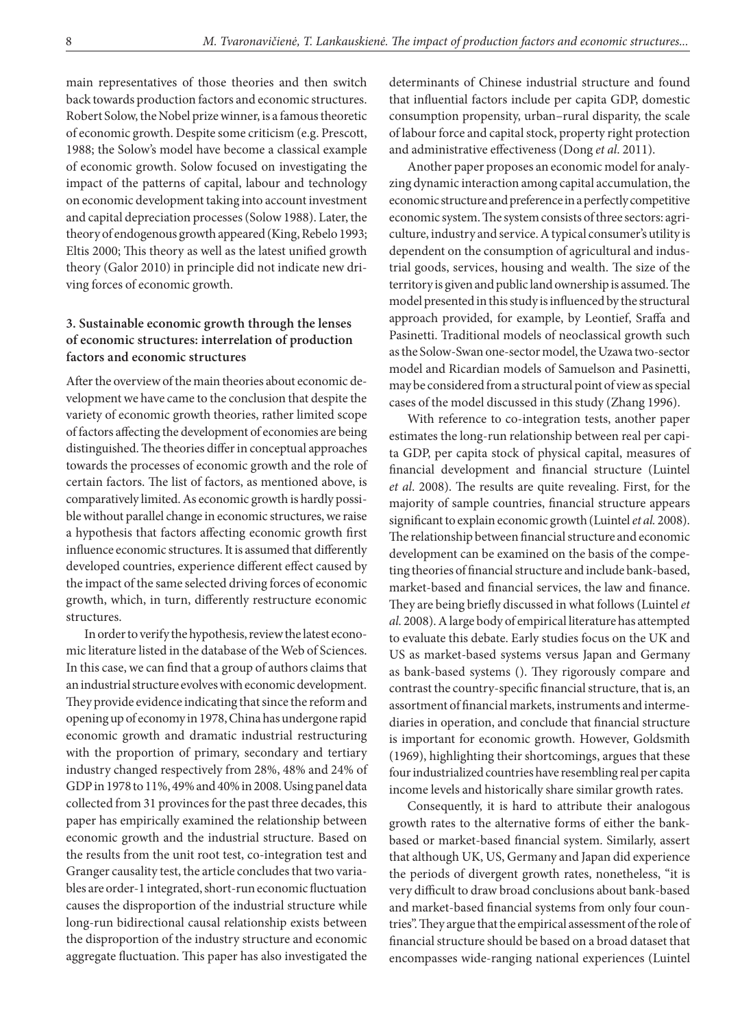main representatives of those theories and then switch back towards production factors and economic structures. Robert Solow, the Nobel prize winner, is a famous theoretic of economic growth. Despite some criticism (e.g. Prescott, 1988; the Solow's model have become a classical example of economic growth. Solow focused on investigating the impact of the patterns of capital, labour and technology on economic development taking into account investment and capital depreciation processes (Solow 1988). Later, the theory of endogenous growth appeared (King, Rebelo 1993; Eltis 2000; This theory as well as the latest unified growth theory (Galor 2010) in principle did not indicate new driving forces of economic growth.

## **3. Sustainable economic growth through the lenses of economic structures: interrelation of production factors and economic structures**

After the overview of the main theories about economic development we have came to the conclusion that despite the variety of economic growth theories, rather limited scope of factors affecting the development of economies are being distinguished. The theories differ in conceptual approaches towards the processes of economic growth and the role of certain factors. The list of factors, as mentioned above, is comparatively limited. As economic growth is hardly possible without parallel change in economic structures, we raise a hypothesis that factors affecting economic growth first influence economic structures. It is assumed that differently developed countries, experience different effect caused by the impact of the same selected driving forces of economic growth, which, in turn, differently restructure economic structures.

In order to verify the hypothesis, review the latest economic literature listed in the database of the Web of Sciences. In this case, we can find that a group of authors claims that an industrial structure evolves with economic development. They provide evidence indicating that since the reform and opening up of economy in 1978, China has undergone rapid economic growth and dramatic industrial restructuring with the proportion of primary, secondary and tertiary industry changed respectively from 28%, 48% and 24% of GDP in 1978 to 11%, 49% and 40% in 2008. Using panel data collected from 31 provinces for the past three decades, this paper has empirically examined the relationship between economic growth and the industrial structure. Based on the results from the unit root test, co-integration test and Granger causality test, the article concludes that two variables are order-1 integrated, short-run economic fluctuation causes the disproportion of the industrial structure while long-run bidirectional causal relationship exists between the disproportion of the industry structure and economic aggregate fluctuation. This paper has also investigated the

determinants of Chinese industrial structure and found that influential factors include per capita GDP, domestic consumption propensity, urban–rural disparity, the scale of labour force and capital stock, property right protection and administrative effectiveness (Dong *et al*. 2011).

Another paper proposes an economic model for analyzing dynamic interaction among capital accumulation, the economic structure and preference in a perfectly competitive economic system. The system consists of three sectors: agriculture, industry and service. A typical consumer's utility is dependent on the consumption of agricultural and industrial goods, services, housing and wealth. The size of the territory is given and public land ownership is assumed. The model presented in this study is influenced by the structural approach provided, for example, by Leontief, Sraffa and Pasinetti. Traditional models of neoclassical growth such as the Solow-Swan one-sector model, the Uzawa two-sector model and Ricardian models of Samuelson and Pasinetti, may be considered from a structural point of view as special cases of the model discussed in this study (Zhang 1996).

With reference to co-integration tests, another paper estimates the long-run relationship between real per capita GDP, per capita stock of physical capital, measures of financial development and financial structure (Luintel *et al*. 2008). The results are quite revealing. First, for the majority of sample countries, financial structure appears significant to explain economic growth (Luintel *et al.* 2008). The relationship between financial structure and economic development can be examined on the basis of the competing theories of financial structure and include bank-based, market-based and financial services, the law and finance. They are being briefly discussed in what follows (Luintel *et al.* 2008). A large body of empirical literature has attempted to evaluate this debate. Early studies focus on the UK and US as market-based systems versus Japan and Germany as bank-based systems (). They rigorously compare and contrast the country-specific financial structure, that is, an assortment of financial markets, instruments and intermediaries in operation, and conclude that financial structure is important for economic growth. However, Goldsmith (1969), highlighting their shortcomings, argues that these four industrialized countries have resembling real per capita income levels and historically share similar growth rates.

Consequently, it is hard to attribute their analogous growth rates to the alternative forms of either the bankbased or market-based financial system. Similarly, assert that although UK, US, Germany and Japan did experience the periods of divergent growth rates, nonetheless, "it is very difficult to draw broad conclusions about bank-based and market-based financial systems from only four countries". They argue that the empirical assessment of the role of financial structure should be based on a broad dataset that encompasses wide-ranging national experiences (Luintel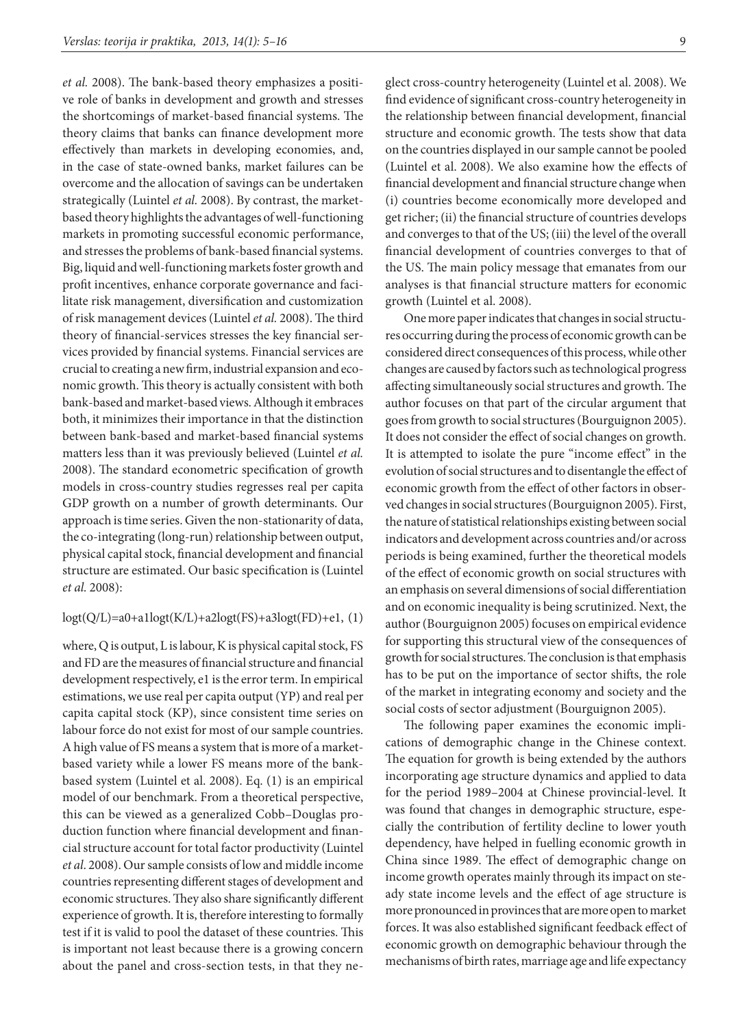*et al.* 2008). The bank-based theory emphasizes a positive role of banks in development and growth and stresses the shortcomings of market-based financial systems. The theory claims that banks can finance development more effectively than markets in developing economies, and, in the case of state-owned banks, market failures can be overcome and the allocation of savings can be undertaken strategically (Luintel *et al.* 2008). By contrast, the marketbased theory highlights the advantages of well-functioning markets in promoting successful economic performance, and stresses the problems of bank-based financial systems. Big, liquid and well-functioning markets foster growth and profit incentives, enhance corporate governance and facilitate risk management, diversification and customization of risk management devices (Luintel *et al.* 2008). The third theory of financial-services stresses the key financial services provided by financial systems. Financial services are crucial to creating a new firm, industrial expansion and economic growth. This theory is actually consistent with both bank-based and market-based views. Although it embraces both, it minimizes their importance in that the distinction between bank-based and market-based financial systems matters less than it was previously believed (Luintel *et al.*  2008). The standard econometric specification of growth models in cross-country studies regresses real per capita GDP growth on a number of growth determinants. Our approach is time series. Given the non-stationarity of data, the co-integrating (long-run) relationship between output, physical capital stock, financial development and financial structure are estimated. Our basic specification is (Luintel *et al.* 2008):

### logt(Q/L)=a0+a1logt(K/L)+a2logt(FS)+a3logt(FD)+e1, (1)

where, Q is output, L is labour, K is physical capital stock, FS and FD are the measures of financial structure and financial development respectively, e1 is the error term. In empirical estimations, we use real per capita output (YP) and real per capita capital stock (KP), since consistent time series on labour force do not exist for most of our sample countries. A high value of FS means a system that is more of a marketbased variety while a lower FS means more of the bankbased system (Luintel et al. 2008). Eq. (1) is an empirical model of our benchmark. From a theoretical perspective, this can be viewed as a generalized Cobb–Douglas production function where financial development and financial structure account for total factor productivity (Luintel *et al*. 2008). Our sample consists of low and middle income countries representing different stages of development and economic structures. They also share significantly different experience of growth. It is, therefore interesting to formally test if it is valid to pool the dataset of these countries. This is important not least because there is a growing concern about the panel and cross-section tests, in that they neglect cross-country heterogeneity (Luintel et al. 2008). We find evidence of significant cross-country heterogeneity in the relationship between financial development, financial structure and economic growth. The tests show that data on the countries displayed in our sample cannot be pooled (Luintel et al. 2008). We also examine how the effects of financial development and financial structure change when (i) countries become economically more developed and get richer; (ii) the financial structure of countries develops and converges to that of the US; (iii) the level of the overall financial development of countries converges to that of the US. The main policy message that emanates from our analyses is that financial structure matters for economic growth (Luintel et al. 2008).

One more paper indicates that changes in social structures occurring during the process of economic growth can be considered direct consequences of this process, while other changes are caused by factors such as technological progress affecting simultaneously social structures and growth. The author focuses on that part of the circular argument that goes from growth to social structures (Bourguignon 2005). It does not consider the effect of social changes on growth. It is attempted to isolate the pure "income effect" in the evolution of social structures and to disentangle the effect of economic growth from the effect of other factors in observed changes in social structures (Bourguignon 2005). First, the nature of statistical relationships existing between social indicators and development across countries and/or across periods is being examined, further the theoretical models of the effect of economic growth on social structures with an emphasis on several dimensions of social differentiation and on economic inequality is being scrutinized. Next, the author (Bourguignon 2005) focuses on empirical evidence for supporting this structural view of the consequences of growth for social structures. The conclusion is that emphasis has to be put on the importance of sector shifts, the role of the market in integrating economy and society and the social costs of sector adjustment (Bourguignon 2005).

The following paper examines the economic implications of demographic change in the Chinese context. The equation for growth is being extended by the authors incorporating age structure dynamics and applied to data for the period 1989–2004 at Chinese provincial-level. It was found that changes in demographic structure, especially the contribution of fertility decline to lower youth dependency, have helped in fuelling economic growth in China since 1989. The effect of demographic change on income growth operates mainly through its impact on steady state income levels and the effect of age structure is more pronounced in provinces that are more open to market forces. It was also established significant feedback effect of economic growth on demographic behaviour through the mechanisms of birth rates, marriage age and life expectancy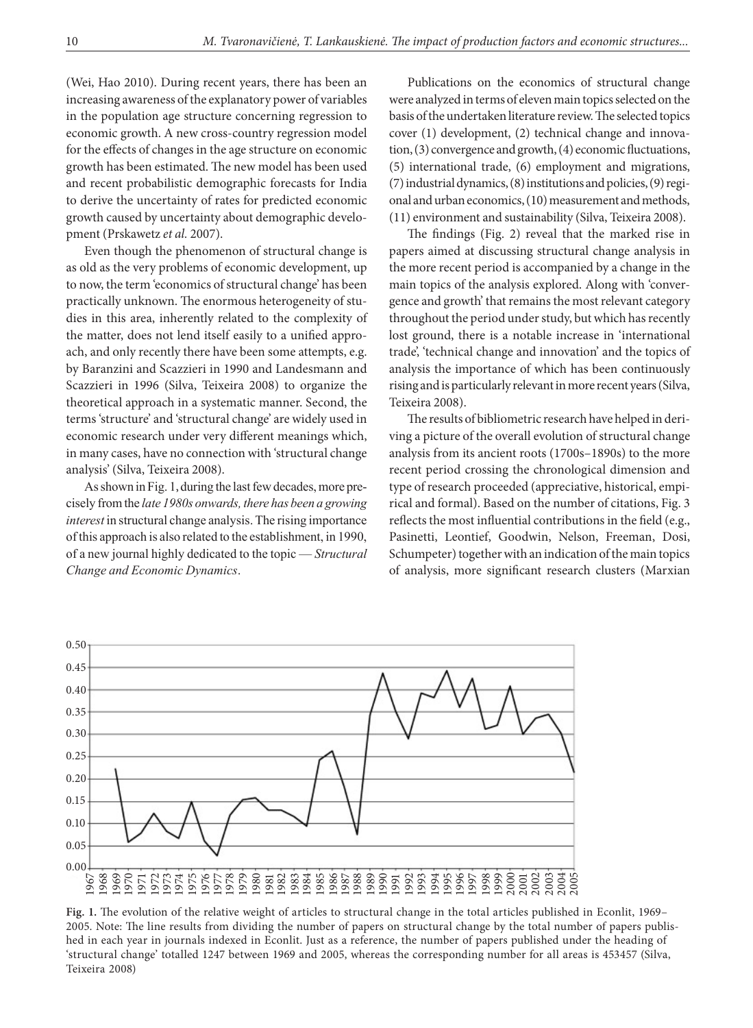(Wei, Hao 2010). During recent years, there has been an increasing awareness of the explanatory power of variables in the population age structure concerning regression to economic growth. A new cross-country regression model for the effects of changes in the age structure on economic growth has been estimated. The new model has been used and recent probabilistic demographic forecasts for India to derive the uncertainty of rates for predicted economic growth caused by uncertainty about demographic development (Prskawetz *et al.* 2007).

Even though the phenomenon of structural change is as old as the very problems of economic development, up to now, the term 'economics of structural change' has been practically unknown. The enormous heterogeneity of studies in this area, inherently related to the complexity of the matter, does not lend itself easily to a unified approach, and only recently there have been some attempts, e.g. by Baranzini and Scazzieri in 1990 and Landesmann and Scazzieri in 1996 (Silva, Teixeira 2008) to organize the theoretical approach in a systematic manner. Second, the terms 'structure' and 'structural change' are widely used in economic research under very different meanings which, in many cases, have no connection with 'structural change analysis' (Silva, Teixeira 2008).

As shown in Fig. 1, during the last few decades, more precisely from the *late 1980s onwards, there has been a growing interest* in structural change analysis. The rising importance of this approach is also related to the establishment, in 1990, of a new journal highly dedicated to the topic — *Structural Change and Economic Dynamics*.

Publications on the economics of structural change were analyzed in terms of eleven main topics selected on the basis of the undertaken literature review. The selected topics cover (1) development, (2) technical change and innovation, (3) convergence and growth, (4) economic fluctuations, (5) international trade, (6) employment and migrations, (7) industrial dynamics, (8) institutions and policies, (9) regional and urban economics, (10) measurement and methods, (11) environment and sustainability (Silva, Teixeira 2008).

The findings (Fig. 2) reveal that the marked rise in papers aimed at discussing structural change analysis in the more recent period is accompanied by a change in the main topics of the analysis explored. Along with 'convergence and growth' that remains the most relevant category throughout the period under study, but which has recently lost ground, there is a notable increase in 'international trade', 'technical change and innovation' and the topics of analysis the importance of which has been continuously rising and is particularly relevant in more recent years (Silva, Teixeira 2008).

The results of bibliometric research have helped in deriving a picture of the overall evolution of structural change analysis from its ancient roots (1700s–1890s) to the more recent period crossing the chronological dimension and type of research proceeded (appreciative, historical, empirical and formal). Based on the number of citations, Fig. 3 reflects the most influential contributions in the field (e.g., Pasinetti, Leontief, Goodwin, Nelson, Freeman, Dosi, Schumpeter) together with an indication of the main topics of analysis, more significant research clusters (Marxian



**Fig. 1.** The evolution of the relative weight of articles to structural change in the total articles published in Econlit, 1969– 2005. Note: The line results from dividing the number of papers on structural change by the total number of papers published in each year in journals indexed in Econlit. Just as a reference, the number of papers published under the heading of 'structural change' totalled 1247 between 1969 and 2005, whereas the corresponding number for all areas is 453457 (Silva, Teixeira 2008)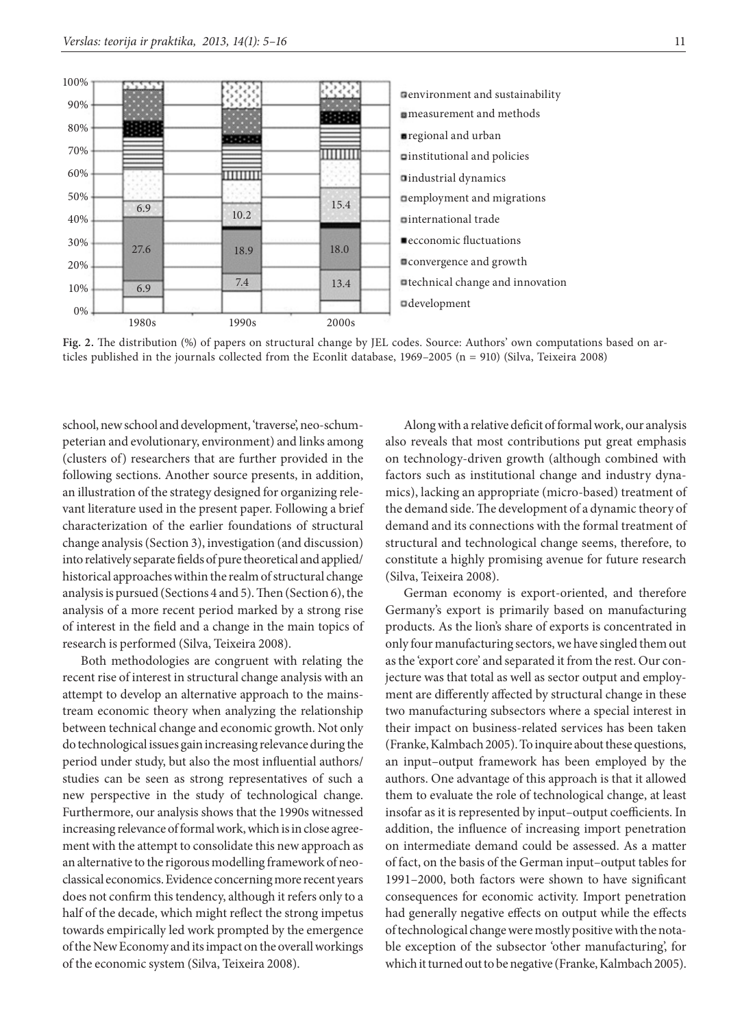

**Fig. 2.** The distribution (%) of papers on structural change by JEL codes. Source: Authors' own computations based on articles published in the journals collected from the Econlit database, 1969-2005 (n = 910) (Silva, Teixeira 2008)

school, new school and development, 'traverse', neo-schumpeterian and evolutionary, environment) and links among (clusters of) researchers that are further provided in the following sections. Another source presents, in addition, an illustration of the strategy designed for organizing relevant literature used in the present paper. Following a brief characterization of the earlier foundations of structural change analysis (Section 3), investigation (and discussion) into relatively separate fields of pure theoretical and applied/ historical approaches within the realm of structural change analysis is pursued (Sections 4 and 5). Then (Section 6), the analysis of a more recent period marked by a strong rise of interest in the field and a change in the main topics of research is performed (Silva, Teixeira 2008).

Both methodologies are congruent with relating the recent rise of interest in structural change analysis with an attempt to develop an alternative approach to the mainstream economic theory when analyzing the relationship between technical change and economic growth. Not only do technological issues gain increasing relevance during the period under study, but also the most influential authors/ studies can be seen as strong representatives of such a new perspective in the study of technological change. Furthermore, our analysis shows that the 1990s witnessed increasing relevance of formal work, which is in close agreement with the attempt to consolidate this new approach as an alternative to the rigorous modelling framework of neoclassical economics. Evidence concerning more recent years does not confirm this tendency, although it refers only to a half of the decade, which might reflect the strong impetus towards empirically led work prompted by the emergence of the New Economy and its impact on the overall workings of the economic system (Silva, Teixeira 2008).

Along with a relative deficit of formal work, our analysis also reveals that most contributions put great emphasis on technology-driven growth (although combined with factors such as institutional change and industry dynamics), lacking an appropriate (micro-based) treatment of the demand side. The development of a dynamic theory of demand and its connections with the formal treatment of structural and technological change seems, therefore, to constitute a highly promising avenue for future research (Silva, Teixeira 2008).

German economy is export-oriented, and therefore Germany's export is primarily based on manufacturing products. As the lion's share of exports is concentrated in only four manufacturing sectors, we have singled them out as the 'export core' and separated it from the rest. Our conjecture was that total as well as sector output and employment are differently affected by structural change in these two manufacturing subsectors where a special interest in their impact on business-related services has been taken (Franke, Kalmbach 2005). To inquire about these questions, an input–output framework has been employed by the authors. One advantage of this approach is that it allowed them to evaluate the role of technological change, at least insofar as it is represented by input–output coefficients. In addition, the influence of increasing import penetration on intermediate demand could be assessed. As a matter of fact, on the basis of the German input–output tables for 1991–2000, both factors were shown to have significant consequences for economic activity. Import penetration had generally negative effects on output while the effects of technological change were mostly positive with the notable exception of the subsector 'other manufacturing', for which it turned out to be negative (Franke, Kalmbach 2005).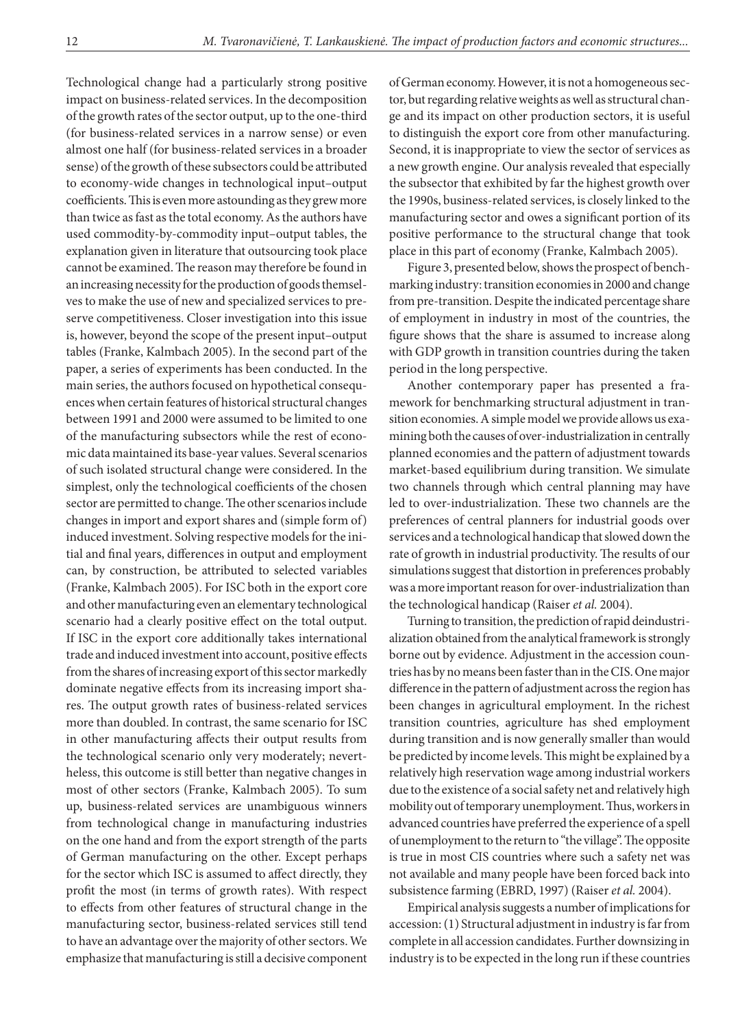Technological change had a particularly strong positive impact on business-related services. In the decomposition of the growth rates of the sector output, up to the one-third (for business-related services in a narrow sense) or even almost one half (for business-related services in a broader sense) of the growth of these subsectors could be attributed to economy-wide changes in technological input–output coefficients. This is even more astounding as they grew more than twice as fast as the total economy. As the authors have used commodity-by-commodity input–output tables, the explanation given in literature that outsourcing took place cannot be examined. The reason may therefore be found in an increasing necessity for the production of goods themselves to make the use of new and specialized services to preserve competitiveness. Closer investigation into this issue is, however, beyond the scope of the present input–output tables (Franke, Kalmbach 2005). In the second part of the paper, a series of experiments has been conducted. In the main series, the authors focused on hypothetical consequences when certain features of historical structural changes between 1991 and 2000 were assumed to be limited to one of the manufacturing subsectors while the rest of economic data maintained its base-year values. Several scenarios of such isolated structural change were considered. In the simplest, only the technological coefficients of the chosen sector are permitted to change. The other scenarios include changes in import and export shares and (simple form of) induced investment. Solving respective models for the initial and final years, differences in output and employment can, by construction, be attributed to selected variables (Franke, Kalmbach 2005). For ISC both in the export core and other manufacturing even an elementary technological scenario had a clearly positive effect on the total output. If ISC in the export core additionally takes international trade and induced investment into account, positive effects from the shares of increasing export of this sector markedly dominate negative effects from its increasing import shares. The output growth rates of business-related services more than doubled. In contrast, the same scenario for ISC in other manufacturing affects their output results from the technological scenario only very moderately; nevertheless, this outcome is still better than negative changes in most of other sectors (Franke, Kalmbach 2005). To sum up, business-related services are unambiguous winners from technological change in manufacturing industries on the one hand and from the export strength of the parts of German manufacturing on the other. Except perhaps for the sector which ISC is assumed to affect directly, they profit the most (in terms of growth rates). With respect to effects from other features of structural change in the manufacturing sector, business-related services still tend to have an advantage over the majority of other sectors. We emphasize that manufacturing is still a decisive component

of German economy. However, it is not a homogeneous sector, but regarding relative weights as well as structural change and its impact on other production sectors, it is useful to distinguish the export core from other manufacturing. Second, it is inappropriate to view the sector of services as a new growth engine. Our analysis revealed that especially the subsector that exhibited by far the highest growth over the 1990s, business-related services, is closely linked to the manufacturing sector and owes a significant portion of its positive performance to the structural change that took place in this part of economy (Franke, Kalmbach 2005).

Figure 3, presented below, shows the prospect of benchmarking industry: transition economies in 2000 and change from pre-transition. Despite the indicated percentage share of employment in industry in most of the countries, the figure shows that the share is assumed to increase along with GDP growth in transition countries during the taken period in the long perspective.

Another contemporary paper has presented a framework for benchmarking structural adjustment in transition economies. A simple model we provide allows us examining both the causes of over-industrialization in centrally planned economies and the pattern of adjustment towards market-based equilibrium during transition. We simulate two channels through which central planning may have led to over-industrialization. These two channels are the preferences of central planners for industrial goods over services and a technological handicap that slowed down the rate of growth in industrial productivity. The results of our simulations suggest that distortion in preferences probably was a more important reason for over-industrialization than the technological handicap (Raiser *et al.* 2004).

Turning to transition, the prediction of rapid deindustrialization obtained from the analytical framework is strongly borne out by evidence. Adjustment in the accession countries has by no means been faster than in the CIS. One major difference in the pattern of adjustment across the region has been changes in agricultural employment. In the richest transition countries, agriculture has shed employment during transition and is now generally smaller than would be predicted by income levels. This might be explained by a relatively high reservation wage among industrial workers due to the existence of a social safety net and relatively high mobility out of temporary unemployment. Thus, workers in advanced countries have preferred the experience of a spell of unemployment to the return to "the village". The opposite is true in most CIS countries where such a safety net was not available and many people have been forced back into subsistence farming (EBRD, 1997) (Raiser *et al.* 2004).

Empirical analysis suggests a number of implications for accession: (1) Structural adjustment in industry is far from complete in all accession candidates. Further downsizing in industry is to be expected in the long run if these countries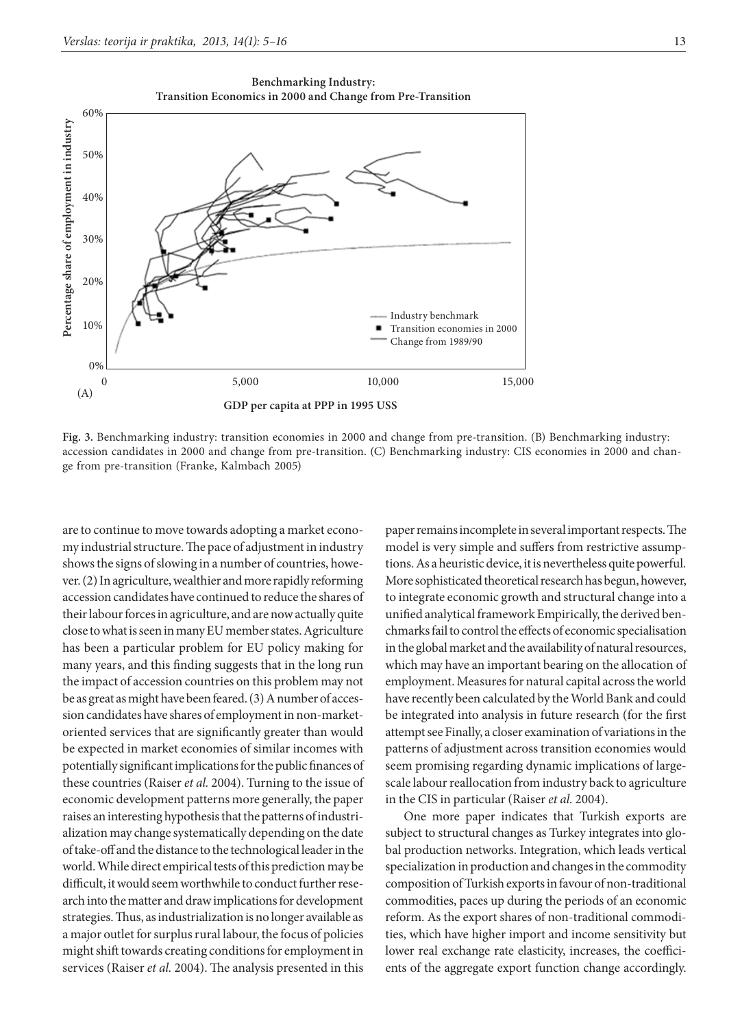

**GDP per capita at PPP in 1995 USS**

**Fig. 3.** Benchmarking industry: transition economies in 2000 and change from pre-transition. (B) Benchmarking industry: accession candidates in 2000 and change from pre-transition. (C) Benchmarking industry: CIS economies in 2000 and change from pre-transition (Franke, Kalmbach 2005)

are to continue to move towards adopting a market economy industrial structure. The pace of adjustment in industry shows the signs of slowing in a number of countries, however. (2) In agriculture, wealthier and more rapidly reforming accession candidates have continued to reduce the shares of their labour forces in agriculture, and are now actually quite close to what is seen in many EU member states. Agriculture has been a particular problem for EU policy making for many years, and this finding suggests that in the long run the impact of accession countries on this problem may not be as great as might have been feared. (3) A number of accession candidates have shares of employment in non-marketoriented services that are significantly greater than would be expected in market economies of similar incomes with potentially significant implications for the public finances of these countries (Raiser *et al.* 2004). Turning to the issue of economic development patterns more generally, the paper raises an interesting hypothesis that the patterns of industrialization may change systematically depending on the date of take-off and the distance to the technological leader in the world. While direct empirical tests of this prediction may be difficult, it would seem worthwhile to conduct further research into the matter and draw implications for development strategies. Thus, as industrialization is no longer available as a major outlet for surplus rural labour, the focus of policies might shift towards creating conditions for employment in services (Raiser *et al.* 2004). The analysis presented in this

paper remains incomplete in several important respects. The model is very simple and suffers from restrictive assumptions. As a heuristic device, it is nevertheless quite powerful. More sophisticated theoretical research has begun, however, to integrate economic growth and structural change into a unified analytical framework Empirically, the derived benchmarks fail to control the effects of economic specialisation in the global market and the availability of natural resources, which may have an important bearing on the allocation of employment. Measures for natural capital across the world have recently been calculated by the World Bank and could be integrated into analysis in future research (for the first attempt see Finally, a closer examination of variations in the patterns of adjustment across transition economies would seem promising regarding dynamic implications of largescale labour reallocation from industry back to agriculture in the CIS in particular (Raiser *et al.* 2004).

One more paper indicates that Turkish exports are subject to structural changes as Turkey integrates into global production networks. Integration, which leads vertical specialization in production and changes in the commodity composition of Turkish exports in favour of non-traditional commodities, paces up during the periods of an economic reform. As the export shares of non-traditional commodities, which have higher import and income sensitivity but lower real exchange rate elasticity, increases, the coefficients of the aggregate export function change accordingly.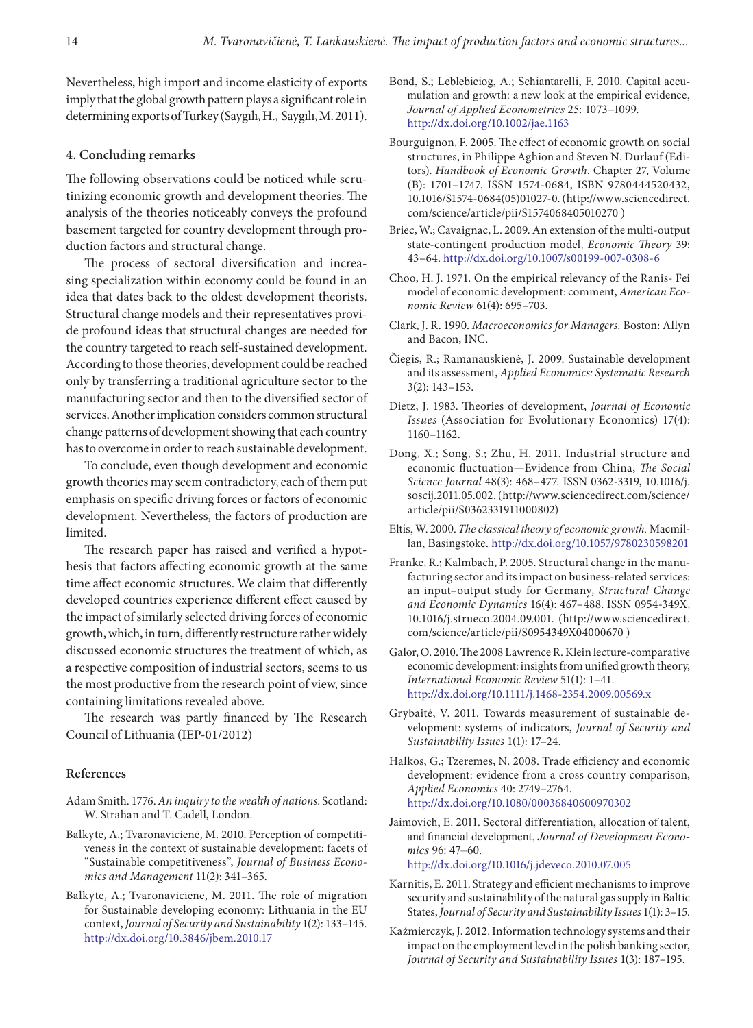Nevertheless, high import and income elasticity of exports imply that the global growth pattern plays a significant role in determining exports of Turkey (Saygılı, H., Saygılı, M. 2011).

### **4. Concluding remarks**

The following observations could be noticed while scrutinizing economic growth and development theories. The analysis of the theories noticeably conveys the profound basement targeted for country development through production factors and structural change.

The process of sectoral diversification and increasing specialization within economy could be found in an idea that dates back to the oldest development theorists. Structural change models and their representatives provide profound ideas that structural changes are needed for the country targeted to reach self-sustained development. According to those theories, development could be reached only by transferring a traditional agriculture sector to the manufacturing sector and then to the diversified sector of services. Another implication considers common structural change patterns of development showing that each country has to overcome in order to reach sustainable development.

To conclude, even though development and economic growth theories may seem contradictory, each of them put emphasis on specific driving forces or factors of economic development. Nevertheless, the factors of production are limited.

The research paper has raised and verified a hypothesis that factors affecting economic growth at the same time affect economic structures. We claim that differently developed countries experience different effect caused by the impact of similarly selected driving forces of economic growth, which, in turn, differently restructure rather widely discussed economic structures the treatment of which, as a respective composition of industrial sectors, seems to us the most productive from the research point of view, since containing limitations revealed above.

The research was partly financed by The Research Council of Lithuania (IEP-01/2012)

### **References**

- Adam Smith. 1776. *An inquiry to the wealth of nations*. Scotland: W. Strahan and T. Cadell, London.
- Balkytė, A.; Tvaronavicienė, M. 2010. Perception of competitiveness in the context of sustainable development: facets of "Sustainable competitiveness", *Journal of Business Economics and Management* 11(2): 341–365.
- Balkyte, A.; Tvaronaviciene, M. 2011. The role of migration for Sustainable developing economy: Lithuania in the EU context, *Journal of Security and Sustainability* 1(2): 133–145. <http://dx.doi.org/10.3846/jbem.2010.17>
- Bond, S.; Leblebiciog, A.; Schiantarelli, F. 2010. Capital accumulation and growth: a new look at the empirical evidence, *Journal of Applied Econometrics* 25: 1073–1099. <http://dx.doi.org/10.1002/jae.1163>
- Bourguignon, F. 2005. The effect of economic growth on social structures, in Philippe Aghion and Steven N. Durlauf (Editors). *Handbook of Economic Growth*. Chapter 27, Volume (B): 1701–1747. ISSN 1574-0684, ISBN 9780444520432, 10.1016/S1574-0684(05)01027-0. [\(http://www.sciencedirect.](http://www.sciencedirect.com/science/article/pii/S1574068405010270) [com/science/article/pii/S1574068405010270](http://www.sciencedirect.com/science/article/pii/S1574068405010270) )
- Briec, W.; Cavaignac, L. 2009. An extension of the multi-output state-contingent production model, *Economic Theory* 39: 43–64.<http://dx.doi.org/10.1007/s00199-007-0308-6>
- Choo, H. J. 1971. On the empirical relevancy of the Ranis- Fei model of economic development: comment, *American Economic Review* 61(4): 695–703.
- Clark, J. R. 1990. *Macroeconomics for Managers.* Boston: Allyn and Bacon, INC.
- Čiegis, R.; Ramanauskienė, J. 2009. Sustainable development and its assessment, *Applied Economics: Systematic Research* 3(2): 143–153.
- Dietz, J. 1983. Theories of development, *Journal of Economic Issues* (Association for Evolutionary Economics) 17(4): 1160–1162.
- Dong, X.; Song, S.; Zhu, H. 2011. Industrial structure and economic fluctuation—Evidence from China, *The Social Science Journal* 48(3): 468–477. ISSN 0362-3319, 10.1016/j. soscij.2011.05.002. ([http://www.sciencedirect.com/science/](http://www.sciencedirect.com/science/article/pii/S0362331911000802) [article/pii/S0362331911000802](http://www.sciencedirect.com/science/article/pii/S0362331911000802))
- Eltis, W. 2000. *The classical theory of economic growth.* Macmillan, Basingstoke. <http://dx.doi.org/10.1057/9780230598201>
- Franke, R.; Kalmbach, P. 2005. Structural change in the manufacturing sector and its impact on business-related services: an input–output study for Germany, *Structural Change and Economic Dynamics* 16(4): 467–488. ISSN 0954-349X, 10.1016/j.strueco.2004.09.001. ([http://www.sciencedirect.](http://www.sciencedirect.com/science/article/pii/S0954349X04000670) [com/science/article/pii/S0954349X04000670](http://www.sciencedirect.com/science/article/pii/S0954349X04000670) )
- Galor, O. 2010. The 2008 Lawrence R. Klein lecture-comparative economic development: insights from unified growth theory, *International Economic Review* 51(1): 1–41. <http://dx.doi.org/10.1111/j.1468-2354.2009.00569.x>
- Grybaitė, V. 2011. Towards measurement of sustainable development: systems of indicators, *Journal of Security and Sustainability Issues* 1(1): 17–24.
- Halkos, G.; Tzeremes, N. 2008. Trade efficiency and economic development: evidence from a cross country comparison, *Applied Economics* 40: 2749–2764. <http://dx.doi.org/10.1080/00036840600970302>
- Jaimovich, E. 2011. Sectoral differentiation, allocation of talent, and financial development, *Journal of Development Economics* 96: 47–60.

<http://dx.doi.org/10.1016/j.jdeveco.2010.07.005>

- Karnitis, E. 2011. Strategy and efficient mechanisms to improve security and sustainability of the natural gas supply in Baltic States, *Journal of Security and Sustainability Issues* 1(1): 3–15.
- Kaźmierczyk, J. 2012. Information technology systems and their impact on the employment level in the polish banking sector, *Journal of Security and Sustainability Issues* 1(3): 187–195.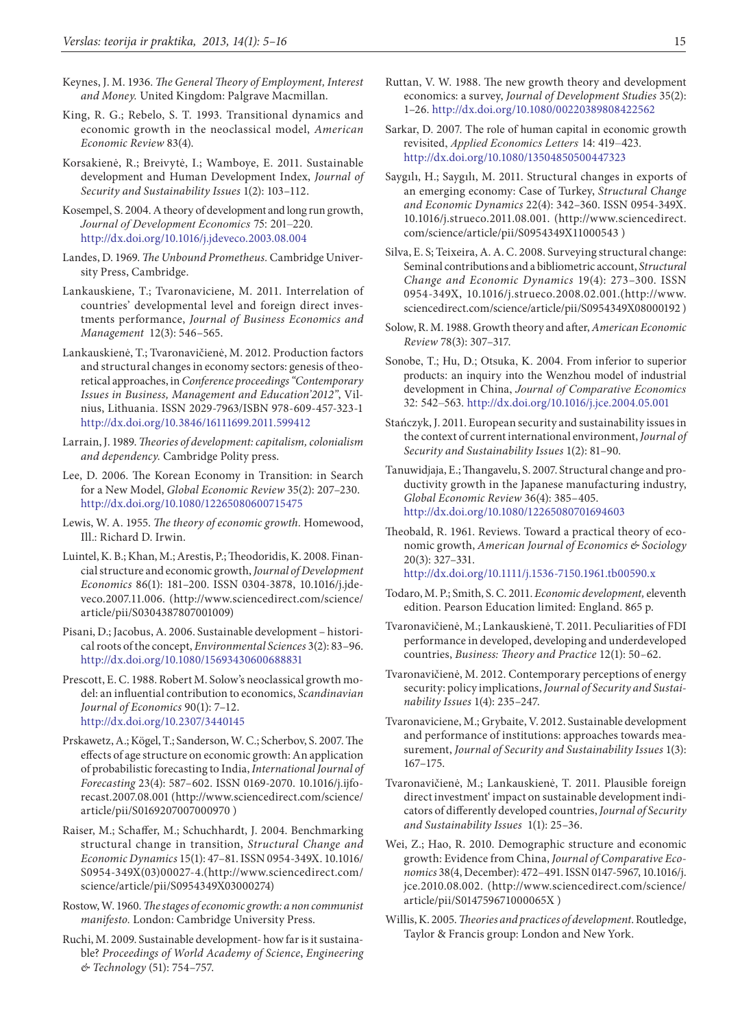- Keynes, J. M. 1936. *The General Theory of Employment, Interest and Money.* United Kingdom: Palgrave Macmillan.
- King, R. G.; Rebelo, S. T. 1993. Transitional dynamics and economic growth in the neoclassical model, *American Economic Review* 83(4).
- Korsakienė, R.; Breivytė, I.; Wamboye, E. 2011. Sustainable development and Human Development Index, *Journal of Security and Sustainability Issues* 1(2): 103–112.
- Kosempel, S. 2004. A theory of development and long run growth, *Journal of Development Economics* 75: 201–220. <http://dx.doi.org/10.1016/j.jdeveco.2003.08.004>
- Landes, D. 1969. *The Unbound Prometheus.* Cambridge University Press, Cambridge.
- Lankauskiene, T.; Tvaronaviciene, M. 2011. Interrelation of countries' developmental level and foreign direct investments performance, *Journal of Business Economics and Management* 12(3): 546–565.
- Lankauskienė, T.; Tvaronavičienė, M. 2012. Production factors and structural changes in economy sectors: genesis of theoretical approaches, in *Conference proceedings "Contemporary Issues in Business, Management and Education'2012"*, Vilnius, Lithuania. ISSN 2029-7963/ISBN 978-609-457-323-1 <http://dx.doi.org/10.3846/16111699.2011.599412>
- Larrain, J. 1989. *Theories of development: capitalism, colonialism and dependency.* Cambridge Polity press.
- Lee, D. 2006. The Korean Economy in Transition: in Search for a New Model, *Global Economic Review* 35(2): 207–230. <http://dx.doi.org/10.1080/12265080600715475>
- Lewis, W. A. 1955. *The theory of economic growth.* Homewood, Ill.: Richard D. Irwin.
- Luintel, K. B.; Khan, M.; Arestis, P.; Theodoridis, K. 2008. Financial structure and economic growth, *Journal of Development Economics* 86(1): 181–200. ISSN 0304-3878, 10.1016/j.jdeveco.2007.11.006. ([http://www.sciencedirect.com/science/](http://www.sciencedirect.com/science/article/pii/S0304387807001009) [article/pii/S0304387807001009](http://www.sciencedirect.com/science/article/pii/S0304387807001009))
- Pisani, D.; Jacobus, A. 2006. Sustainable development historical roots of the concept, *Environmental Sciences* 3(2): 83–96. <http://dx.doi.org/10.1080/15693430600688831>
- Prescott, E. C. 1988. Robert M. Solow's neoclassical growth model: an influential contribution to economics, *Scandinavian Journal of Economics* 90(1): 7–12. <http://dx.doi.org/10.2307/3440145>
- Prskawetz, A.; Kögel, T.; Sanderson, W. C.; Scherbov, S. 2007. The effects of age structure on economic growth: An application of probabilistic forecasting to India, *International Journal of Forecasting* 23(4): 587–602. ISSN 0169-2070. 10.1016/j.ijforecast.2007.08.001 ([http://www.sciencedirect.com/science/](http://www.sciencedirect.com/science/article/pii/S0169207007000970) [article/pii/S0169207007000970](http://www.sciencedirect.com/science/article/pii/S0169207007000970) )
- Raiser, M.; Schaffer, M.; Schuchhardt, J. 2004. Benchmarking structural change in transition, *Structural Change and Economic Dynamics* 15(1): 47–81. ISSN 0954-349X. 10.1016/ S0954-349X(03)00027-4.([http://www.sciencedirect.com/](http://www.sciencedirect.com/science/article/pii/S0954349X03000274) [science/article/pii/S0954349X03000274\)](http://www.sciencedirect.com/science/article/pii/S0954349X03000274)
- Rostow, W. 1960. *The stages of economic growth: a non communist manifesto.* London: Cambridge University Press.
- Ruchi, M. 2009. Sustainable development- how far is it sustainable? *Proceedings of World Academy of Science*, *Engineering & Technology* (51): 754–757.
- Ruttan, V. W. 1988. The new growth theory and development economics: a survey, *Journal of Development Studies* 35(2): 1–26. <http://dx.doi.org/10.1080/00220389808422562>
- Sarkar, D. 2007. The role of human capital in economic growth revisited, *Applied Economics Letters* 14: 419–423. <http://dx.doi.org/10.1080/13504850500447323>
- Saygılı, H.; Saygılı, M. 2011. Structural changes in exports of an emerging economy: Case of Turkey, *Structural Change and Economic Dynamics* 22(4): 342–360. ISSN 0954-349X. 10.1016/j.strueco.2011.08.001. [\(http://www.sciencedirect.](http://www.sciencedirect.com/science/article/pii/S0954349X11000543) [com/science/article/pii/S0954349X11000543](http://www.sciencedirect.com/science/article/pii/S0954349X11000543) )
- Silva, E. S; Teixeira, A. A. C. 2008. Surveying structural change: Seminal contributions and a bibliometric account, *Structural Change and Economic Dynamics* 19(4): 273–300. ISSN 0954-349X, 10.1016/j.strueco.2008.02.001.(http://www. sciencedirect.com/science/article/pii/S0954349X08000192 )
- Solow, R. M. 1988. Growth theory and after, *American Economic Review* 78(3): 307–317.
- Sonobe, T.; Hu, D.; Otsuka, K. 2004. From inferior to superior products: an inquiry into the Wenzhou model of industrial development in China, *Journal of Comparative Economics* 32: 542–563. <http://dx.doi.org/10.1016/j.jce.2004.05.001>
- Stańczyk, J. 2011. European security and sustainability issues in the context of current international environment, *Journal of Security and Sustainability Issues* 1(2): 81–90.
- Tanuwidjaja, E.; Thangavelu, S. 2007. Structural change and productivity growth in the Japanese manufacturing industry, *Global Economic Review* 36(4): 385–405. <http://dx.doi.org/10.1080/12265080701694603>
- Theobald, R. 1961. Reviews. Toward a practical theory of economic growth, *American Journal of Economics & Sociology*  20(3): 327–331. <http://dx.doi.org/10.1111/j.1536-7150.1961.tb00590.x>
- Todaro, M. P.; Smith, S. C. 2011. *Economic development,* eleventh edition. Pearson Education limited: England. 865 p.
- Tvaronavičienė, M.; Lankauskienė, T. 2011. Peculiarities of FDI performance in developed, developing and underdeveloped countries, *Business: Theory and Practice* 12(1): 50–62.
- Tvaronavičienė, M. 2012. Contemporary perceptions of energy security: policy implications, *Journal of Security and Sustainability Issues* 1(4): 235–247.
- Tvaronaviciene, M.; Grybaite, V. 2012. Sustainable development and performance of institutions: approaches towards measurement, *Journal of Security and Sustainability Issues* 1(3): 167–175.
- Tvaronavičienė, M.; Lankauskienė, T. 2011. Plausible foreign direct investment' impact on sustainable development indicators of differently developed countries, *Journal of Security and Sustainability Issues* 1(1): 25–36.
- Wei, Z.; Hao, R. 2010. Demographic structure and economic growth: Evidence from China, *Journal of Comparative Economics* 38(4, December): 472–491. ISSN 0147-5967, 10.1016/j. jce.2010.08.002. ([http://www.sciencedirect.com/science/](http://www.sciencedirect.com/science/article/pii/S014759671000065X) [article/pii/S014759671000065X](http://www.sciencedirect.com/science/article/pii/S014759671000065X) )
- Willis, K. 2005. *Theories and practices of development*. Routledge, Taylor & Francis group: London and New York.